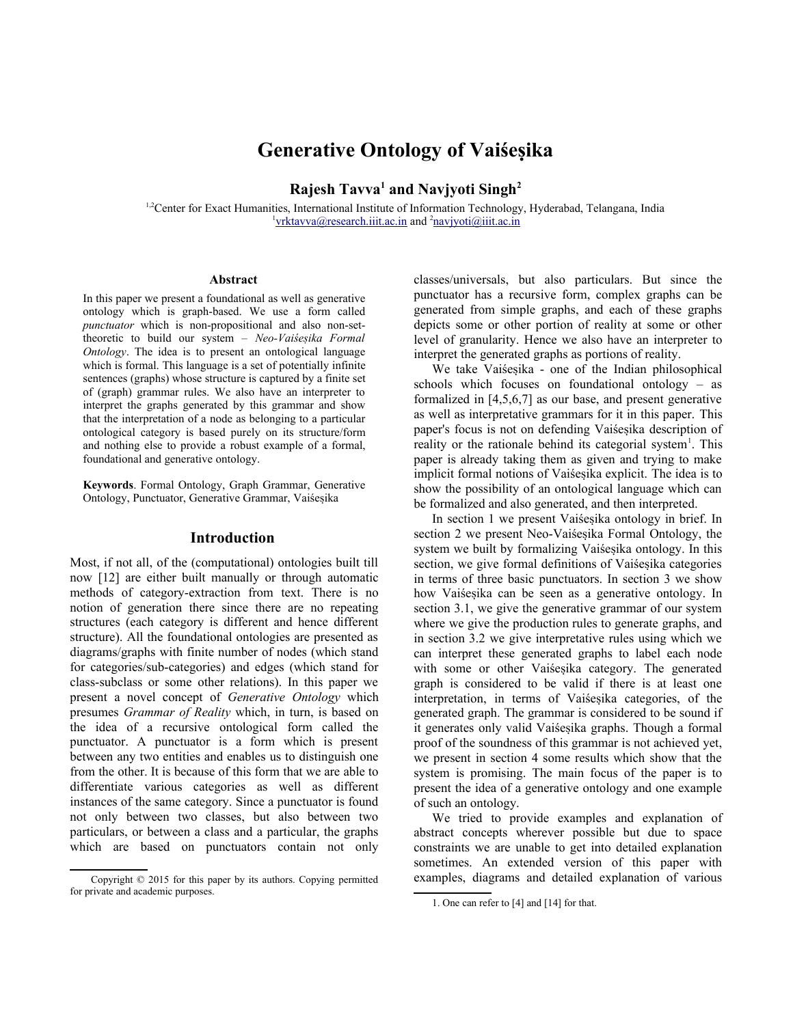# **Generative Ontology of Vaiśesika**

**Rajesh Tavva<sup>1</sup> and Navjyoti Singh<sup>2</sup>**

<sup>1,2</sup>Center for Exact Humanities, International Institute of Information Technology, Hyderabad, Telangana, India <sup>1</sup>yrktavva@research.iiit.ac.in and <sup>2</sup>[navjyoti@iiit.ac.in](mailto:navjyoti@iiit.ac.in)

#### **Abstract**

In this paper we present a foundational as well as generative ontology which is graph-based. We use a form called *punctuator* which is non-propositional and also non-settheoretic to build our system – *Neo-Vaiśesika Formal Ontology*. The idea is to present an ontological language which is formal. This language is a set of potentially infinite sentences (graphs) whose structure is captured by a finite set of (graph) grammar rules. We also have an interpreter to interpret the graphs generated by this grammar and show that the interpretation of a node as belonging to a particular ontological category is based purely on its structure/form and nothing else to provide a robust example of a formal, foundational and generative ontology.

**Keywords**. Formal Ontology, Graph Grammar, Generative Ontology, Punctuator, Generative Grammar, Vaiśesika

#### **Introductio[n](#page-0-0)**

Most, if not all, of the (computational) ontologies built till now [12] are either built manually or through automatic methods of category-extraction from text. There is no notion of generation there since there are no repeating structures (each category is different and hence different structure). All the foundational ontologies are presented as diagrams/graphs with finite number of nodes (which stand for categories/sub-categories) and edges (which stand for class-subclass or some other relations). In this paper we present a novel concept of *Generative Ontology* which presumes *Grammar of Reality* which, in turn, is based on the idea of a recursive ontological form called the punctuator. A punctuator is a form which is present between any two entities and enables us to distinguish one from the other. It is because of this form that we are able to differentiate various categories as well as different instances of the same category. Since a punctuator is found not only between two classes, but also between two particulars, or between a class and a particular, the graphs which are based on punctuators contain not only

classes/universals, but also particulars. But since the punctuator has a recursive form, complex graphs can be generated from simple graphs, and each of these graphs depicts some or other portion of reality at some or other level of granularity. Hence we also have an interpreter to interpret the generated graphs as portions of reality.

We take Vaiśesika - one of the Indian philosophical schools which focuses on foundational ontology – as formalized in [4,5,6,7] as our base, and present generative as well as interpretative grammars for it in this paper. This paper's focus is not on defending Vaiśesika description of reality or the rationale behind its categorial system<sup>[1](#page-0-1)</sup>. This paper is already taking them as given and trying to make implicit formal notions of Vaiśesika explicit. The idea is to show the possibility of an ontological language which can be formalized and also generated, and then interpreted.

In section 1 we present Vaiśesika ontology in brief. In section 2 we present Neo-Vaiśesika Formal Ontology, the system we built by formalizing Vaiśesika ontology. In this section, we give formal definitions of Vaiśesika categories in terms of three basic punctuators. In section 3 we show how Vaiśesika can be seen as a generative ontology. In section 3.1, we give the generative grammar of our system where we give the production rules to generate graphs, and in section 3.2 we give interpretative rules using which we can interpret these generated graphs to label each node with some or other Vaiśesika category. The generated graph is considered to be valid if there is at least one interpretation, in terms of Vaiśesika categories, of the generated graph. The grammar is considered to be sound if it generates only valid Vaiśesika graphs. Though a formal proof of the soundness of this grammar is not achieved yet, we present in section 4 some results which show that the system is promising. The main focus of the paper is to present the idea of a generative ontology and one example of such an ontology.

We tried to provide examples and explanation of abstract concepts wherever possible but due to space constraints we are unable to get into detailed explanation sometimes. An extended version of this paper with examples, diagrams and detailed explanation of various

<span id="page-0-0"></span>Copyright © 2015 for this paper by its authors. Copying permitted for private and academic purposes.

<span id="page-0-1"></span><sup>1.</sup> One can refer to [4] and [14] for that.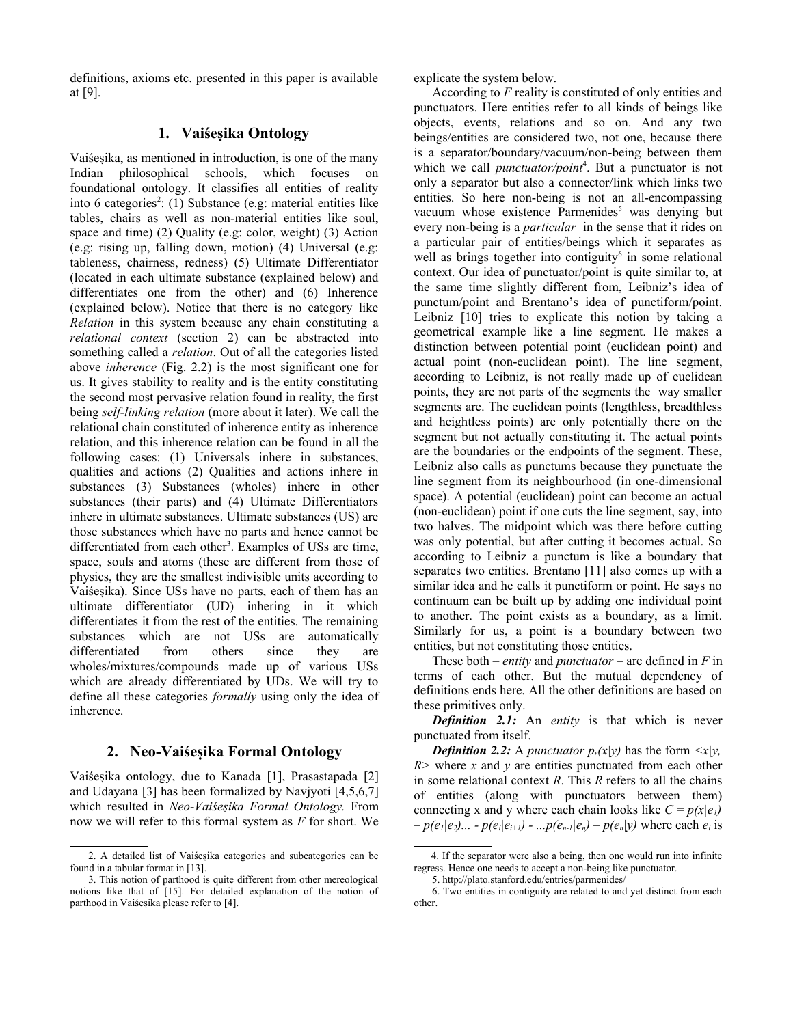definitions, axioms etc. presented in this paper is available at [9].

### **1. Vaiśesika Ontology**

Vaiśesika, as mentioned in introduction, is one of the many Indian philosophical schools, which focuses on foundational ontology. It classifies all entities of reality into 6 categories<sup>[2](#page-1-0)</sup>: (1) Substance (e.g: material entities like tables, chairs as well as non-material entities like soul, space and time) (2) Quality (e.g: color, weight) (3) Action (e.g: rising up, falling down, motion) (4) Universal (e.g: tableness, chairness, redness) (5) Ultimate Differentiator (located in each ultimate substance (explained below) and differentiates one from the other) and (6) Inherence (explained below). Notice that there is no category like *Relation* in this system because any chain constituting a *relational context* (section 2) can be abstracted into something called a *relation*. Out of all the categories listed above *inherence* (Fig. 2.2) is the most significant one for us. It gives stability to reality and is the entity constituting the second most pervasive relation found in reality, the first being *self-linking relation* (more about it later). We call the relational chain constituted of inherence entity as inherence relation, and this inherence relation can be found in all the following cases: (1) Universals inhere in substances, qualities and actions (2) Qualities and actions inhere in substances (3) Substances (wholes) inhere in other substances (their parts) and (4) Ultimate Differentiators inhere in ultimate substances. Ultimate substances (US) are those substances which have no parts and hence cannot be differentiated from each other<sup>[3](#page-1-1)</sup>. Examples of USs are time, space, souls and atoms (these are different from those of physics, they are the smallest indivisible units according to Vaiśesika). Since USs have no parts, each of them has an ultimate differentiator (UD) inhering in it which differentiates it from the rest of the entities. The remaining substances which are not USs are automatically differentiated from others since they are wholes/mixtures/compounds made up of various USs which are already differentiated by UDs. We will try to define all these categories *formally* using only the idea of inherence.

## **2. Neo-Vaiśesika Formal Ontology**

Vaiśesika ontology, due to Kanada [1], Prasastapada [2] and Udayana [3] has been formalized by Navjyoti [4,5,6,7] which resulted in *Neo-Vaiśesika Formal Ontology.* From now we will refer to this formal system as *F* for short. We explicate the system below.

According to *F* reality is constituted of only entities and punctuators. Here entities refer to all kinds of beings like objects, events, relations and so on. And any two beings/entities are considered two, not one, because there is a separator/boundary/vacuum/non-being between them which we call *punctuator/point<sup>[4](#page-1-2)</sup>*. But a punctuator is not only a separator but also a connector/link which links two entities. So here non-being is not an all-encompassing vacuum whose existence Parmenides<sup>[5](#page-1-3)</sup> was denying but every non-being is a *particular* in the sense that it rides on a particular pair of entities/beings which it separates as well as brings together into contiguity<sup>[6](#page-1-4)</sup> in some relational context. Our idea of punctuator/point is quite similar to, at the same time slightly different from, Leibniz's idea of punctum/point and Brentano's idea of punctiform/point. Leibniz [10] tries to explicate this notion by taking a geometrical example like a line segment. He makes a distinction between potential point (euclidean point) and actual point (non-euclidean point). The line segment, according to Leibniz, is not really made up of euclidean points, they are not parts of the segments the way smaller segments are. The euclidean points (lengthless, breadthless and heightless points) are only potentially there on the segment but not actually constituting it. The actual points are the boundaries or the endpoints of the segment. These, Leibniz also calls as punctums because they punctuate the line segment from its neighbourhood (in one-dimensional space). A potential (euclidean) point can become an actual (non-euclidean) point if one cuts the line segment, say, into two halves. The midpoint which was there before cutting was only potential, but after cutting it becomes actual. So according to Leibniz a punctum is like a boundary that separates two entities. Brentano [11] also comes up with a similar idea and he calls it punctiform or point. He says no continuum can be built up by adding one individual point to another. The point exists as a boundary, as a limit. Similarly for us, a point is a boundary between two entities, but not constituting those entities.

These both – *entity* and *punctuator* – are defined in *F* in terms of each other. But the mutual dependency of definitions ends here. All the other definitions are based on these primitives only.

*Definition 2.1:* An *entity* is that which is never punctuated from itself.

*Definition 2.2:* A *punctuator*  $p_r(x|y)$  has the form  $\langle x|y$ , *R>* where *x* and *y* are entities punctuated from each other in some relational context *R*. This *R* refers to all the chains of entities (along with punctuators between them) connecting x and y where each chain looks like  $C = p(x|e_1)$  $-p(e_1|e_2)$ ... -  $p(e_i|e_{i+1})$  - ... $p(e_{n-1}|e_n) - p(e_n|y)$  where each  $e_i$  is

<span id="page-1-0"></span><sup>2.</sup> A detailed list of Vaiśesika categories and subcategories can be found in a tabular format in [13].

<span id="page-1-1"></span><sup>3.</sup> This notion of parthood is quite different from other mereological notions like that of [15]. For detailed explanation of the notion of parthood in Vaiśesika please refer to [4].

<span id="page-1-2"></span><sup>4.</sup> If the separator were also a being, then one would run into infinite regress. Hence one needs to accept a non-being like punctuator.

<span id="page-1-4"></span><span id="page-1-3"></span><sup>5.</sup> http://plato.stanford.edu/entries/parmenides/

<sup>6.</sup> Two entities in contiguity are related to and yet distinct from each other.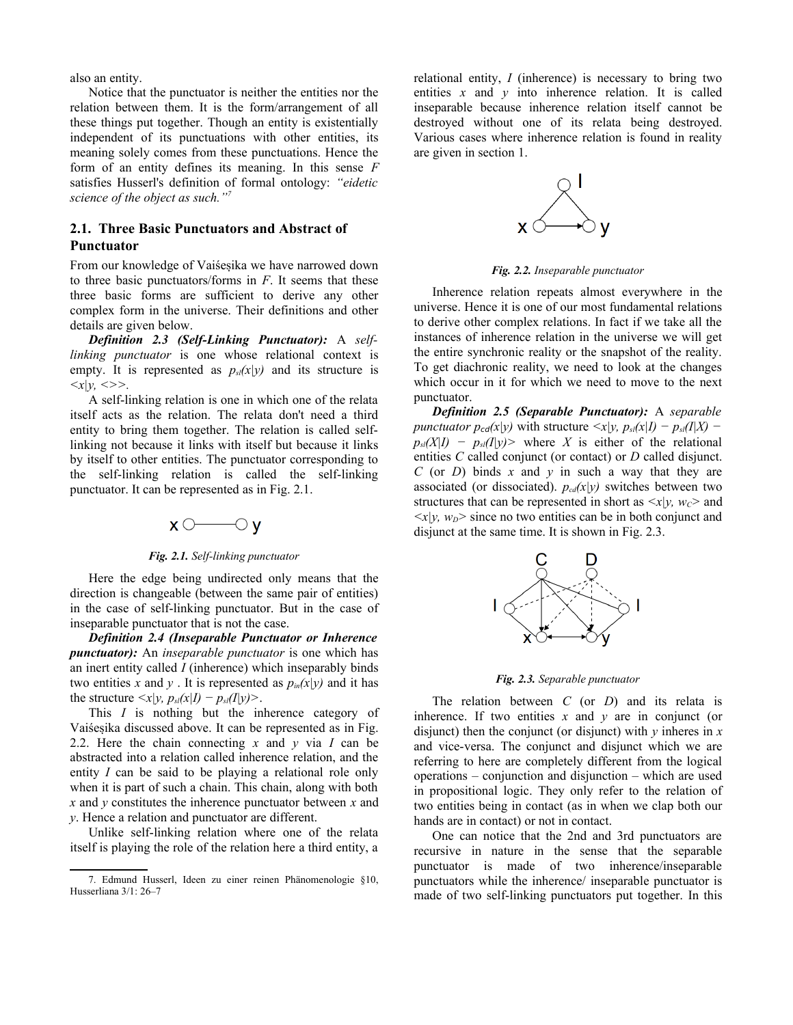also an entity.

Notice that the punctuator is neither the entities nor the relation between them. It is the form/arrangement of all these things put together. Though an entity is existentially independent of its punctuations with other entities, its meaning solely comes from these punctuations. Hence the form of an entity defines its meaning. In this sense *F* satisfies Husserl's definition of formal ontology: *"eidetic science of the object as such."[7](#page-2-0)*

## **2.1. Three Basic Punctuators and Abstract of Punctuator**

From our knowledge of Vaiśesika we have narrowed down to three basic punctuators/forms in *F*. It seems that these three basic forms are sufficient to derive any other complex form in the universe. Their definitions and other details are given below.

*Definition 2.3 (Self-Linking Punctuator):* A *selflinking punctuator* is one whose relational context is empty. It is represented as  $p_{\textit{sl}}(x|y)$  and its structure is  $\langle x|y, \langle \rangle \rangle$ .

A self-linking relation is one in which one of the relata itself acts as the relation. The relata don't need a third entity to bring them together. The relation is called selflinking not because it links with itself but because it links by itself to other entities. The punctuator corresponding to the self-linking relation is called the self-linking punctuator. It can be represented as in Fig. 2.1.

# $x \circ \longrightarrow \circ y$

#### *Fig. 2.1. Self-linking punctuator*

Here the edge being undirected only means that the direction is changeable (between the same pair of entities) in the case of self-linking punctuator. But in the case of inseparable punctuator that is not the case.

*Definition 2.4 (Inseparable Punctuator or Inherence punctuator):* An *inseparable punctuator* is one which has an inert entity called *I* (inherence) which inseparably binds two entities *x* and *y*. It is represented as  $p_{in}(x|y)$  and it has the structure  $\langle x|y, p_{\textit{sl}}(x|I) - p_{\textit{sl}}(I|y) \rangle$ .

This *I* is nothing but the inherence category of Vaiśesika discussed above. It can be represented as in Fig. 2.2. Here the chain connecting *x* and *y* via *I* can be abstracted into a relation called inherence relation, and the entity *I* can be said to be playing a relational role only when it is part of such a chain. This chain, along with both *x* and *y* constitutes the inherence punctuator between *x* and *y*. Hence a relation and punctuator are different.

Unlike self-linking relation where one of the relata itself is playing the role of the relation here a third entity, a relational entity, *I* (inherence) is necessary to bring two entities  $x$  and  $y$  into inherence relation. It is called inseparable because inherence relation itself cannot be destroyed without one of its relata being destroyed. Various cases where inherence relation is found in reality are given in section 1.



*Fig. 2.2. Inseparable punctuator*

Inherence relation repeats almost everywhere in the universe. Hence it is one of our most fundamental relations to derive other complex relations. In fact if we take all the instances of inherence relation in the universe we will get the entire synchronic reality or the snapshot of the reality. To get diachronic reality, we need to look at the changes which occur in it for which we need to move to the next punctuator.

*Definition 2.5 (Separable Punctuator):* A *separable punctuator*  $p_{cd}(x|y)$  *with structure*  $\langle x|y, p_{sl}(x|I) - p_{sl}(I|X) - p_{sl}(I|X) \rangle$  $p_{\textit{sl}}(X|I) - p_{\textit{sl}}(I|Y)$  where *X* is either of the relational entities *C* called conjunct (or contact) or *D* called disjunct. *C* (or *D*) binds *x* and *y* in such a way that they are associated (or dissociated).  $p_{cd}(x|y)$  switches between two structures that can be represented in short as  $\langle x|v, w_c \rangle$  and  $\langle x|y, w_D \rangle$  since no two entities can be in both conjunct and disjunct at the same time. It is shown in Fig. 2.3.



*Fig. 2.3. Separable punctuator*

The relation between *C* (or *D*) and its relata is inherence. If two entities  $x$  and  $y$  are in conjunct (or disjunct) then the conjunct (or disjunct) with *y* inheres in *x* and vice-versa. The conjunct and disjunct which we are referring to here are completely different from the logical operations – conjunction and disjunction – which are used in propositional logic. They only refer to the relation of two entities being in contact (as in when we clap both our hands are in contact) or not in contact.

One can notice that the 2nd and 3rd punctuators are recursive in nature in the sense that the separable punctuator is made of two inherence/inseparable punctuators while the inherence/ inseparable punctuator is made of two self-linking punctuators put together. In this

<span id="page-2-0"></span><sup>7.</sup> Edmund Husserl, Ideen zu einer reinen Phänomenologie §10, Husserliana 3/1: 26–7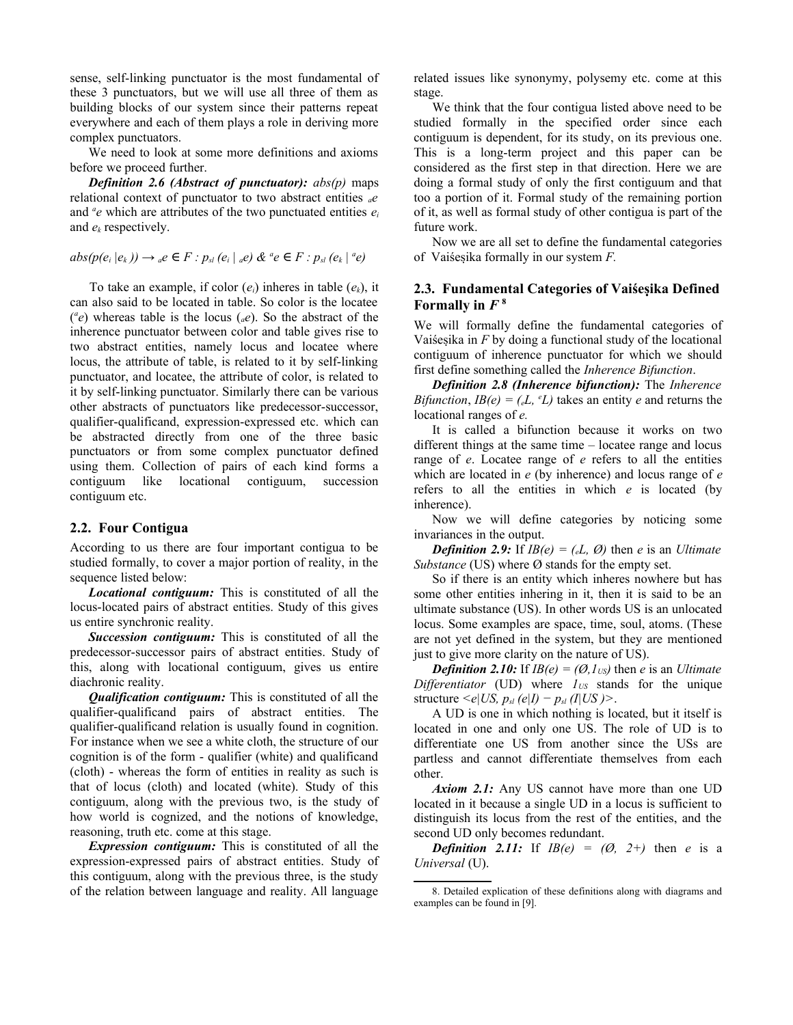sense, self-linking punctuator is the most fundamental of these 3 punctuators, but we will use all three of them as building blocks of our system since their patterns repeat everywhere and each of them plays a role in deriving more complex punctuators.

We need to look at some more definitions and axioms before we proceed further.

*Definition 2.6 (Abstract of punctuator): abs(p)* maps relational context of punctuator to two abstract entities *ae* and  $\alpha$  *e* which are attributes of the two punctuated entities  $e_i$ and *e<sup>k</sup>* respectively.

 $abs(p(e_i|e_k)) \rightarrow a e \in F : p_{sl}(e_i|ae) \& ^a e \in F : p_{sl}(e_k|^{a}e)$ 

To take an example, if color (*ei*) inheres in table (*ek*), it can also said to be located in table. So color is the locatee  $({}^{\alpha}e)$  whereas table is the locus ( $_{\alpha}e$ ). So the abstract of the inherence punctuator between color and table gives rise to two abstract entities, namely locus and locatee where locus, the attribute of table, is related to it by self-linking punctuator, and locatee, the attribute of color, is related to it by self-linking punctuator. Similarly there can be various other abstracts of punctuators like predecessor-successor, qualifier-qualificand, expression-expressed etc. which can be abstracted directly from one of the three basic punctuators or from some complex punctuator defined using them. Collection of pairs of each kind forms a contiguum like locational contiguum, succession contiguum etc.

### **2.2. Four Contigua**

According to us there are four important contigua to be studied formally, to cover a major portion of reality, in the sequence listed below:

*Locational contiguum:* This is constituted of all the locus-located pairs of abstract entities. Study of this gives us entire synchronic reality.

*Succession contiguum:* This is constituted of all the predecessor-successor pairs of abstract entities. Study of this, along with locational contiguum, gives us entire diachronic reality.

*Qualification contiguum:* This is constituted of all the qualifier-qualificand pairs of abstract entities. The qualifier-qualificand relation is usually found in cognition. For instance when we see a white cloth, the structure of our cognition is of the form - qualifier (white) and qualificand (cloth) - whereas the form of entities in reality as such is that of locus (cloth) and located (white). Study of this contiguum, along with the previous two, is the study of how world is cognized, and the notions of knowledge, reasoning, truth etc. come at this stage.

*Expression contiguum:* This is constituted of all the expression-expressed pairs of abstract entities. Study of this contiguum, along with the previous three, is the study of the relation between language and reality. All language

related issues like synonymy, polysemy etc. come at this stage.

We think that the four contigua listed above need to be studied formally in the specified order since each contiguum is dependent, for its study, on its previous one. This is a long-term project and this paper can be considered as the first step in that direction. Here we are doing a formal study of only the first contiguum and that too a portion of it. Formal study of the remaining portion of it, as well as formal study of other contigua is part of the future work.

Now we are all set to define the fundamental categories of Vaiśesika formally in our system *F.*

# **2.3. Fundamental Categories of Vaiśesika Defined** Formally in  $F^8$  $F^8$

We will formally define the fundamental categories of Vaiśesika in *F* by doing a functional study of the locational contiguum of inherence punctuator for which we should first define something called the *Inherence Bifunction*.

*Definition 2.8 (Inherence bifunction):* The *Inherence Bifunction,*  $IB(e) = (eL, {}^e L)$  *takes an entity <i>e* and returns the locational ranges of *e.*

It is called a bifunction because it works on two different things at the same time – locatee range and locus range of *e*. Locatee range of *e* refers to all the entities which are located in *e* (by inherence) and locus range of *e* refers to all the entities in which *e* is located (by inherence).

Now we will define categories by noticing some invariances in the output.

*Definition 2.9:* If  $IB(e) = (eL, \emptyset)$  then *e* is an *Ultimate Substance* (US) where Ø stands for the empty set.

So if there is an entity which inheres nowhere but has some other entities inhering in it, then it is said to be an ultimate substance (US). In other words US is an unlocated locus. Some examples are space, time, soul, atoms. (These are not yet defined in the system, but they are mentioned just to give more clarity on the nature of US).

*Definition 2.10:* If  $IB(e) = (\emptyset, I_{US})$  then *e* is an *Ultimate Differentiator* (UD) where *1US* stands for the unique structure  $\leq e|US$ ,  $p_{sl}(e|I) - p_{sl}(I|US)$ .

A UD is one in which nothing is located, but it itself is located in one and only one US. The role of UD is to differentiate one US from another since the USs are partless and cannot differentiate themselves from each other.

*Axiom 2.1:* Any US cannot have more than one UD located in it because a single UD in a locus is sufficient to distinguish its locus from the rest of the entities, and the second UD only becomes redundant.

*Definition 2.11:* If  $IB(e) = (0, 2+)$  then *e* is a *Universal* (U).

<span id="page-3-0"></span><sup>8.</sup> Detailed explication of these definitions along with diagrams and examples can be found in [9].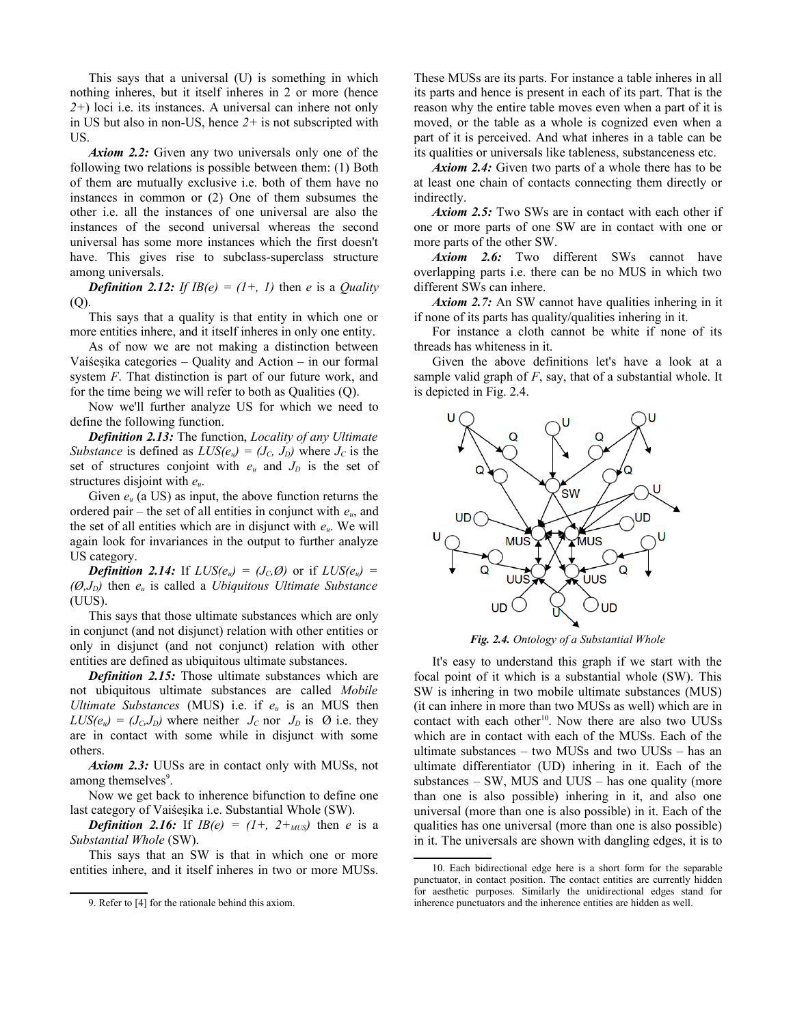This says that a universal (U) is something in which nothing inheres, but it itself inheres in 2 or more (hence *2+*) loci i.e. its instances. A universal can inhere not only in US but also in non-US, hence *2+* is not subscripted with US.

*Axiom 2.2:* Given any two universals only one of the following two relations is possible between them: (1) Both of them are mutually exclusive i.e. both of them have no instances in common or (2) One of them subsumes the other i.e. all the instances of one universal are also the instances of the second universal whereas the second universal has some more instances which the first doesn't have. This gives rise to subclass-superclass structure among universals.

*Definition 2.12: If*  $IB(e) = (1+, 1)$  *then e is a <i>Quality*  $(O)$ .

This says that a quality is that entity in which one or more entities inhere, and it itself inheres in only one entity.

As of now we are not making a distinction between Vaiśesika categories – Quality and Action – in our formal system *F*. That distinction is part of our future work, and for the time being we will refer to both as Qualities (Q).

Now we'll further analyze US for which we need to define the following function.

*Definition 2.13:* The function, *Locality of any Ultimate Substance* is defined as  $LUS(e_u) = (J_C, J_D)$  where  $J_C$  is the set of structures conjoint with  $e_u$  and  $J_p$  is the set of structures disjoint with *eu*.

Given *e<sup>u</sup>* (a US) as input, the above function returns the ordered pair – the set of all entities in conjunct with *eu*, and the set of all entities which are in disjunct with *eu*. We will again look for invariances in the output to further analyze US category.

*Definition 2.14:* If  $LUS(e_u) = (J_c, \emptyset)$  or if  $LUS(e_u) =$ *(Ø,JD)* then *e<sup>u</sup>* is called a *Ubiquitous Ultimate Substance* (UUS).

This says that those ultimate substances which are only in conjunct (and not disjunct) relation with other entities or only in disjunct (and not conjunct) relation with other entities are defined as ubiquitous ultimate substances.

*Definition 2.15:* Those ultimate substances which are not ubiquitous ultimate substances are called *Mobile Ultimate Substances* (MUS) i.e. if *eu* is an MUS then  $LUS(e_u) = (J_c, J_p)$  where neither  $J_c$  nor  $J_p$  is  $\emptyset$  i.e. they are in contact with some while in disjunct with some others.

*Axiom 2.3:* UUSs are in contact only with MUSs, not among themselves<sup>[9](#page-4-0)</sup>.

Now we get back to inherence bifunction to define one last category of Vaiśesika i.e. Substantial Whole (SW).

*Definition 2.16:* If  $IB(e) = (1+, 2+_{MUS})$  then *e* is a *Substantial Whole* (SW).

This says that an SW is that in which one or more entities inhere, and it itself inheres in two or more MUSs.

These MUSs are its parts. For instance a table inheres in all its parts and hence is present in each of its part. That is the reason why the entire table moves even when a part of it is moved, or the table as a whole is cognized even when a part of it is perceived. And what inheres in a table can be its qualities or universals like tableness, substanceness etc.

*Axiom 2.4:* Given two parts of a whole there has to be at least one chain of contacts connecting them directly or indirectly.

*Axiom 2.5:* Two SWs are in contact with each other if one or more parts of one SW are in contact with one or more parts of the other SW.

*Axiom 2.6:* Two different SWs cannot have overlapping parts i.e. there can be no MUS in which two different SWs can inhere.

*Axiom 2.7:* An SW cannot have qualities inhering in it if none of its parts has quality/qualities inhering in it.

For instance a cloth cannot be white if none of its threads has whiteness in it.

Given the above definitions let's have a look at a sample valid graph of *F*, say, that of a substantial whole. It is depicted in Fig. 2.4.



*Fig. 2.4. Ontology of a Substantial Whole*

It's easy to understand this graph if we start with the focal point of it which is a substantial whole (SW). This SW is inhering in two mobile ultimate substances (MUS) (it can inhere in more than two MUSs as well) which are in contact with each other<sup>[10](#page-4-1)</sup>. Now there are also two UUSs which are in contact with each of the MUSs. Each of the ultimate substances – two MUSs and two UUSs – has an ultimate differentiator (UD) inhering in it. Each of the substances  $-$  SW, MUS and UUS  $-$  has one quality (more than one is also possible) inhering in it, and also one universal (more than one is also possible) in it. Each of the qualities has one universal (more than one is also possible) in it. The universals are shown with dangling edges, it is to

<span id="page-4-0"></span><sup>9.</sup> Refer to [4] for the rationale behind this axiom.

<span id="page-4-1"></span><sup>10.</sup> Each bidirectional edge here is a short form for the separable punctuator, in contact position. The contact entities are currently hidden for aesthetic purposes. Similarly the unidirectional edges stand for inherence punctuators and the inherence entities are hidden as well.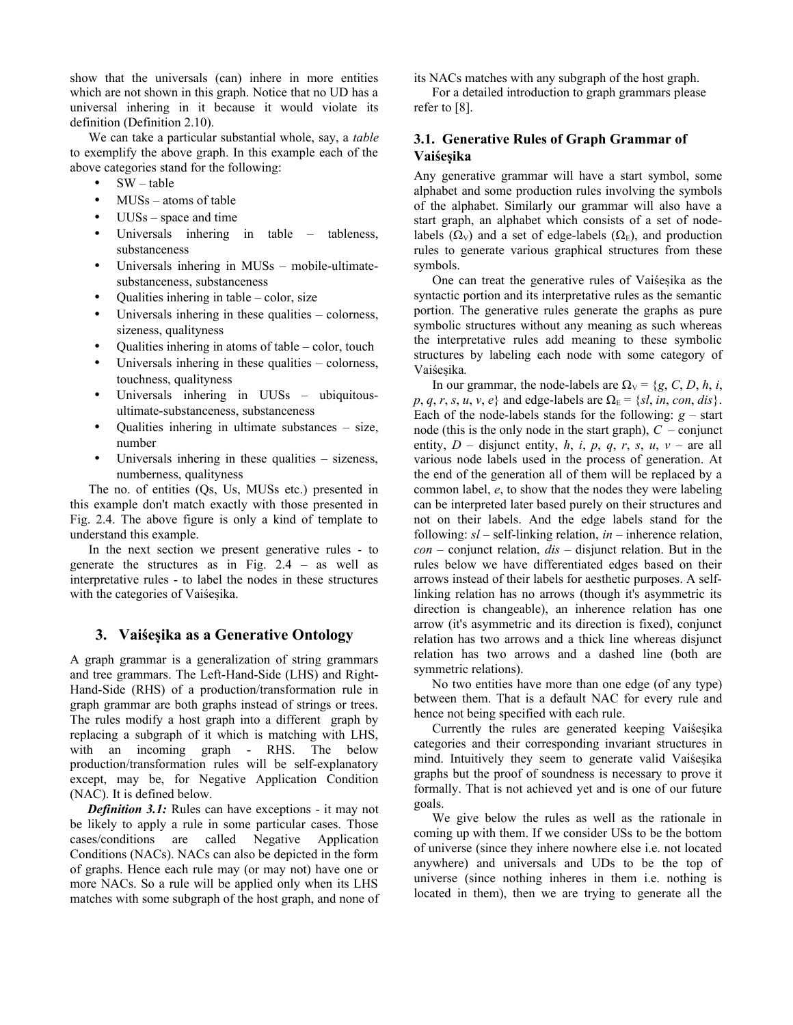show that the universals (can) inhere in more entities which are not shown in this graph. Notice that no UD has a universal inhering in it because it would violate its definition (Definition 2.10).

We can take a particular substantial whole, say, a *table* to exemplify the above graph. In this example each of the above categories stand for the following:

- $SW table$
- MUS<sub>s</sub> atoms of table
- $UUSs$  space and time
- Universals inhering in table tableness, substanceness
- Universals inhering in MUSs mobile-ultimatesubstanceness, substanceness
- Qualities inhering in table color, size
- Universals inhering in these qualities  $-$  colorness, sizeness, qualityness
- Qualities inhering in atoms of table  $-$  color, touch
- Universals inhering in these qualities colorness, touchness, qualityness
- Universals inhering in UUSs ubiquitousultimate-substanceness, substanceness
- Qualities inhering in ultimate substances size, number
- Universals inhering in these qualities sizeness, numberness, qualityness

The no. of entities (Qs, Us, MUSs etc.) presented in this example don't match exactly with those presented in Fig. 2.4. The above figure is only a kind of template to understand this example.

In the next section we present generative rules - to generate the structures as in Fig. 2.4 – as well as interpretative rules - to label the nodes in these structures with the categories of Vaiśesika.

## **3. Vaiśesika as a Generative Ontology**

A graph grammar is a generalization of string grammars and tree grammars. The Left-Hand-Side (LHS) and Right-Hand-Side (RHS) of a production/transformation rule in graph grammar are both graphs instead of strings or trees. The rules modify a host graph into a different graph by replacing a subgraph of it which is matching with LHS, with an incoming graph - RHS. The below production/transformation rules will be self-explanatory except, may be, for Negative Application Condition (NAC). It is defined below.

*Definition 3.1:* Rules can have exceptions - it may not be likely to apply a rule in some particular cases. Those cases/conditions are called Negative Application Conditions (NACs). NACs can also be depicted in the form of graphs. Hence each rule may (or may not) have one or more NACs. So a rule will be applied only when its LHS matches with some subgraph of the host graph, and none of its NACs matches with any subgraph of the host graph.

For a detailed introduction to graph grammars please refer to [8].

# **3.1. Generative Rules of Graph Grammar of Vaiśesika**

Any generative grammar will have a start symbol, some alphabet and some production rules involving the symbols of the alphabet. Similarly our grammar will also have a start graph, an alphabet which consists of a set of nodelabels ( $\Omega_V$ ) and a set of edge-labels ( $\Omega_E$ ), and production rules to generate various graphical structures from these symbols.

One can treat the generative rules of Vaiśesika as the syntactic portion and its interpretative rules as the semantic portion. The generative rules generate the graphs as pure symbolic structures without any meaning as such whereas the interpretative rules add meaning to these symbolic structures by labeling each node with some category of Vaiśesika*.*

In our grammar, the node-labels are  $\Omega$ <sub>V</sub> = {*g*, *C*, *D*, *h*, *i*,  $p, q, r, s, u, v, e$  and edge-labels are  $\Omega_E = \{sl, in, con, dis\}.$ Each of the node-labels stands for the following:  $g$  – start node (this is the only node in the start graph),  $C$  – conjunct entity,  $D$  – disjunct entity,  $h$ ,  $i$ ,  $p$ ,  $q$ ,  $r$ ,  $s$ ,  $u$ ,  $v$  – are all various node labels used in the process of generation. At the end of the generation all of them will be replaced by a common label, *e*, to show that the nodes they were labeling can be interpreted later based purely on their structures and not on their labels. And the edge labels stand for the following: *sl* – self-linking relation, *in* – inherence relation, *con* – conjunct relation, *dis* – disjunct relation. But in the rules below we have differentiated edges based on their arrows instead of their labels for aesthetic purposes. A selflinking relation has no arrows (though it's asymmetric its direction is changeable), an inherence relation has one arrow (it's asymmetric and its direction is fixed), conjunct relation has two arrows and a thick line whereas disjunct relation has two arrows and a dashed line (both are symmetric relations).

No two entities have more than one edge (of any type) between them. That is a default NAC for every rule and hence not being specified with each rule.

Currently the rules are generated keeping Vaiśesika categories and their corresponding invariant structures in mind. Intuitively they seem to generate valid Vaiśesika graphs but the proof of soundness is necessary to prove it formally. That is not achieved yet and is one of our future goals.

We give below the rules as well as the rationale in coming up with them. If we consider USs to be the bottom of universe (since they inhere nowhere else i.e. not located anywhere) and universals and UDs to be the top of universe (since nothing inheres in them i.e. nothing is located in them), then we are trying to generate all the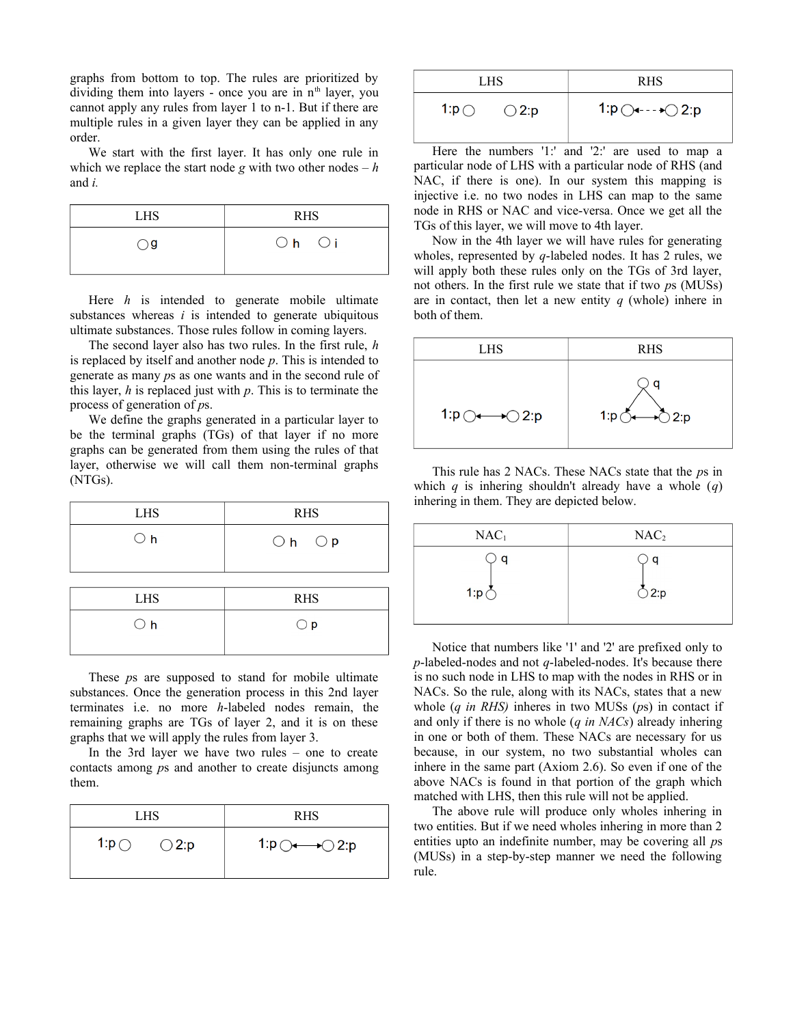graphs from bottom to top. The rules are prioritized by dividing them into layers - once you are in  $n<sup>th</sup>$  layer, you cannot apply any rules from layer 1 to n-1. But if there are multiple rules in a given layer they can be applied in any order.

We start with the first layer. It has only one rule in which we replace the start node  $g$  with two other nodes  $-h$ and *i.*

| <b>LHS</b> | <b>RHS</b> |  |
|------------|------------|--|
| ) g        | $Oh$ $Oi$  |  |

Here *h* is intended to generate mobile ultimate substances whereas *i* is intended to generate ubiquitous ultimate substances. Those rules follow in coming layers.

The second layer also has two rules. In the first rule, *h* is replaced by itself and another node *p*. This is intended to generate as many *p*s as one wants and in the second rule of this layer, *h* is replaced just with *p*. This is to terminate the process of generation of *p*s.

We define the graphs generated in a particular layer to be the terminal graphs (TGs) of that layer if no more graphs can be generated from them using the rules of that layer, otherwise we will call them non-terminal graphs (NTGs).

| <b>LHS</b>   | <b>RHS</b> |  |
|--------------|------------|--|
| $\bigcirc$ h | $Oh$ $Op$  |  |

| <b>LHS</b>   | <b>RHS</b>   |  |
|--------------|--------------|--|
| $\bigcirc$ h | $\bigcirc$ p |  |
|              |              |  |

These *p*s are supposed to stand for mobile ultimate substances. Once the generation process in this 2nd layer terminates i.e. no more *h*-labeled nodes remain, the remaining graphs are TGs of layer 2, and it is on these graphs that we will apply the rules from layer 3.

In the 3rd layer we have two rules – one to create contacts among *p*s and another to create disjuncts among them.

| LHS.            |                | <b>RHS</b>                              |  |
|-----------------|----------------|-----------------------------------------|--|
| 1: $p \bigcirc$ | $\bigcirc$ 2:p | 1:p $\bigcirc \rightarrow \bigcirc$ 2:p |  |
|                 |                |                                         |  |

| LHS                               | <b>RHS</b>                             |  |
|-----------------------------------|----------------------------------------|--|
| 1: $p \bigcirc$<br>$\bigcirc$ 2:p | 1: $p \bigcirc$ ---+ $\bigcirc$ 2: $p$ |  |

Here the numbers '1:' and '2:' are used to map a particular node of LHS with a particular node of RHS (and NAC, if there is one). In our system this mapping is injective i.e. no two nodes in LHS can map to the same node in RHS or NAC and vice-versa. Once we get all the TGs of this layer, we will move to 4th layer.

Now in the 4th layer we will have rules for generating wholes, represented by *q*-labeled nodes. It has 2 rules, we will apply both these rules only on the TGs of 3rd layer, not others. In the first rule we state that if two *p*s (MUSs) are in contact, then let a new entity *q* (whole) inhere in both of them.



This rule has 2 NACs. These NACs state that the *p*s in which *q* is inhering shouldn't already have a whole (*q*) inhering in them. They are depicted below.

| NAC <sub>1</sub> | NAC <sub>2</sub> |
|------------------|------------------|
| a                | a                |
| 1:p              | 2:p              |

Notice that numbers like '1' and '2' are prefixed only to *p*-labeled-nodes and not *q*-labeled-nodes. It's because there is no such node in LHS to map with the nodes in RHS or in NACs. So the rule, along with its NACs, states that a new whole (*q in RHS)* inheres in two MUSs (*p*s) in contact if and only if there is no whole (*q in NACs*) already inhering in one or both of them. These NACs are necessary for us because, in our system, no two substantial wholes can inhere in the same part (Axiom 2.6). So even if one of the above NACs is found in that portion of the graph which matched with LHS, then this rule will not be applied.

The above rule will produce only wholes inhering in two entities. But if we need wholes inhering in more than 2 entities upto an indefinite number, may be covering all *p*s (MUSs) in a step-by-step manner we need the following rule.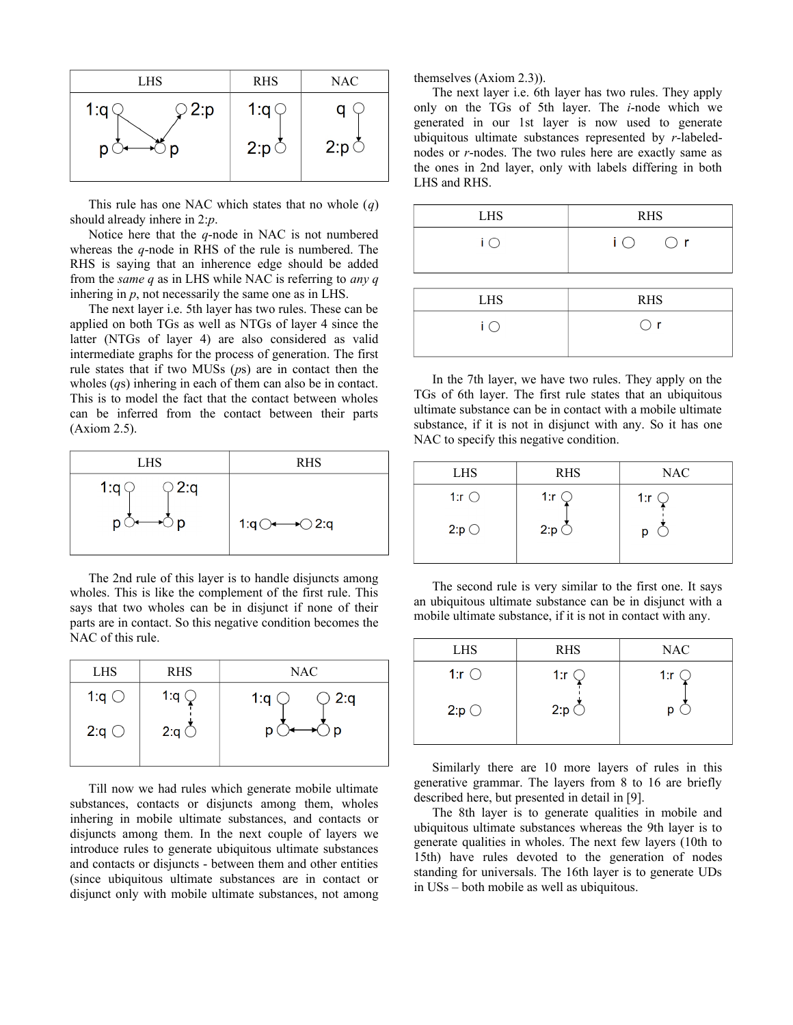

This rule has one NAC which states that no whole (*q*) should already inhere in 2:*p*.

Notice here that the *q*-node in NAC is not numbered whereas the *q*-node in RHS of the rule is numbered. The RHS is saying that an inherence edge should be added from the *same q* as in LHS while NAC is referring to *any q* inhering in *p*, not necessarily the same one as in LHS.

The next layer i.e. 5th layer has two rules. These can be applied on both TGs as well as NTGs of layer 4 since the latter (NTGs of layer 4) are also considered as valid intermediate graphs for the process of generation. The first rule states that if two MUSs (*p*s) are in contact then the wholes (*q*s) inhering in each of them can also be in contact. This is to model the fact that the contact between wholes can be inferred from the contact between their parts (Axiom 2.5).



The 2nd rule of this layer is to handle disjuncts among wholes. This is like the complement of the first rule. This says that two wholes can be in disjunct if none of their parts are in contact. So this negative condition becomes the NAC of this rule.

| <b>LHS</b>     | <b>RHS</b>              | <b>NAC</b>    |  |
|----------------|-------------------------|---------------|--|
| 1: $q \circ$   | 1:q $\in$               | 2:q<br>1: $q$ |  |
| 2:q $\bigcirc$ | 2:q $\circlearrowright$ | D             |  |

Till now we had rules which generate mobile ultimate substances, contacts or disjuncts among them, wholes inhering in mobile ultimate substances, and contacts or disjuncts among them. In the next couple of layers we introduce rules to generate ubiquitous ultimate substances and contacts or disjuncts - between them and other entities (since ubiquitous ultimate substances are in contact or disjunct only with mobile ultimate substances, not among themselves (Axiom 2.3)).

The next layer i.e. 6th layer has two rules. They apply only on the TGs of 5th layer. The *i*-node which we generated in our 1st layer is now used to generate ubiquitous ultimate substances represented by *r*-labelednodes or *r*-nodes. The two rules here are exactly same as the ones in 2nd layer, only with labels differing in both LHS and RHS.

| <b>LHS</b>            | <b>RHS</b>                                    |  |
|-----------------------|-----------------------------------------------|--|
| $\mathsf{i} \bigcirc$ | $\overline{1}$ $\overline{)}$<br>$\bigcirc$ r |  |
|                       |                                               |  |
| <b>LHS</b>            | <b>RHS</b>                                    |  |

 $\mathsf{i} \circlearrowleft$  $\bigcirc$  r In the 7th layer, we have two rules. They apply on the TGs of 6th layer. The first rule states that an ubiquitous

ultimate substance can be in contact with a mobile ultimate substance, if it is not in disjunct with any. So it has one NAC to specify this negative condition.

| <b>LHS</b>     | <b>RHS</b>     | <b>NAC</b>     |
|----------------|----------------|----------------|
| 1: $r$ $\circ$ | 1: $r \subset$ | 1: $r \subset$ |
| 2:p            | $2:p\bigcirc$  | p              |

The second rule is very similar to the first one. It says an ubiquitous ultimate substance can be in disjunct with a mobile ultimate substance, if it is not in contact with any.

| <b>LHS</b>   | <b>RHS</b>     | <b>NAC</b> |
|--------------|----------------|------------|
| 1: $r \circ$ | 1: $r \subset$ | 1:r        |
| 2:p          | $2:p \subset$  | D          |

Similarly there are 10 more layers of rules in this generative grammar. The layers from 8 to 16 are briefly described here, but presented in detail in [9].

The 8th layer is to generate qualities in mobile and ubiquitous ultimate substances whereas the 9th layer is to generate qualities in wholes. The next few layers (10th to 15th) have rules devoted to the generation of nodes standing for universals. The 16th layer is to generate UDs in USs – both mobile as well as ubiquitous.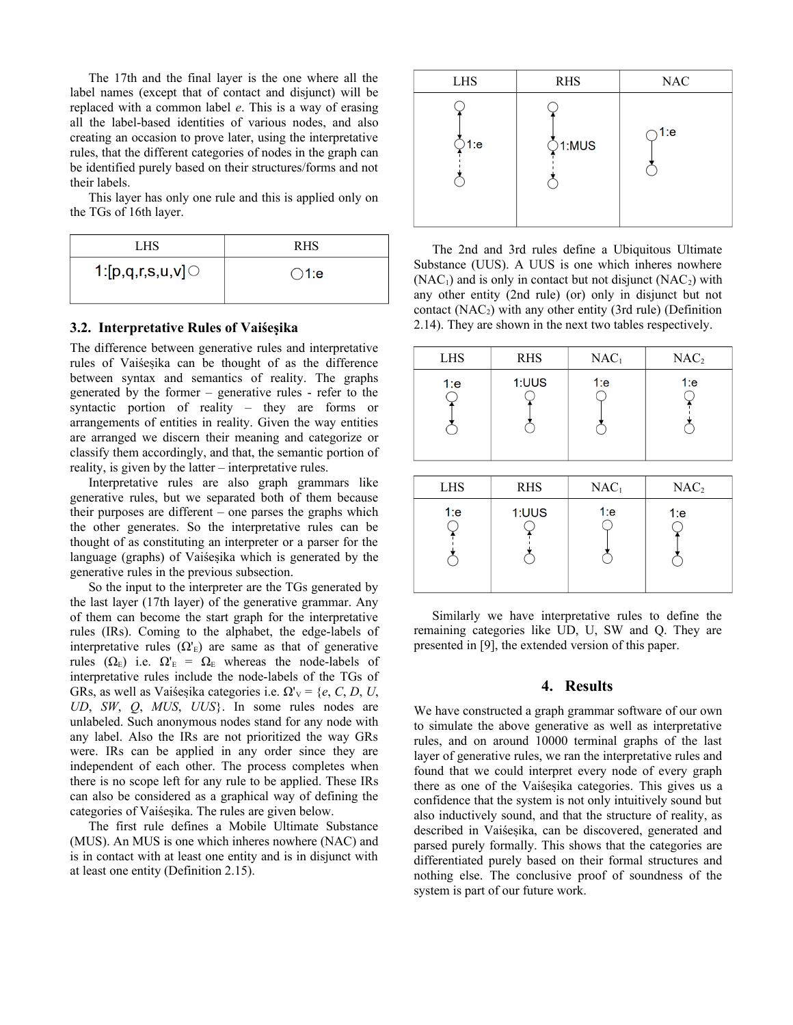The 17th and the final layer is the one where all the label names (except that of contact and disjunct) will be replaced with a common label *e*. This is a way of erasing all the label-based identities of various nodes, and also creating an occasion to prove later, using the interpretative rules, that the different categories of nodes in the graph can be identified purely based on their structures/forms and not their labels.

This layer has only one rule and this is applied only on the TGs of 16th layer.

| LHS                 | <b>RHS</b>     |
|---------------------|----------------|
| 1:[ $p,q,r,s,u,v$ ] | $\bigcirc$ 1:e |
|                     |                |

# **3.2. Interpretative Rules of Vaiśesika**

The difference between generative rules and interpretative rules of Vaiśesika can be thought of as the difference between syntax and semantics of reality. The graphs generated by the former – generative rules - refer to the syntactic portion of reality – they are forms or arrangements of entities in reality. Given the way entities are arranged we discern their meaning and categorize or classify them accordingly, and that, the semantic portion of reality, is given by the latter – interpretative rules.

Interpretative rules are also graph grammars like generative rules, but we separated both of them because their purposes are different – one parses the graphs which the other generates. So the interpretative rules can be thought of as constituting an interpreter or a parser for the language (graphs) of Vaiśesika which is generated by the generative rules in the previous subsection.

So the input to the interpreter are the TGs generated by the last layer (17th layer) of the generative grammar. Any of them can become the start graph for the interpretative rules (IRs). Coming to the alphabet, the edge-labels of interpretative rules  $(\Omega)$  are same as that of generative rules ( $\Omega_{\rm E}$ ) i.e.  $\Omega_{\rm E}$  =  $\Omega_{\rm E}$  whereas the node-labels of interpretative rules include the node-labels of the TGs of GRs, as well as Vaiśesika categories i.e.  $\Omega' = \{e, C, D, U, \}$ *UD*, *SW*, *Q*, *MUS*, *UUS*}. In some rules nodes are unlabeled. Such anonymous nodes stand for any node with any label. Also the IRs are not prioritized the way GRs were. IRs can be applied in any order since they are independent of each other. The process completes when there is no scope left for any rule to be applied. These IRs can also be considered as a graphical way of defining the categories of Vaiśesika. The rules are given below.

The first rule defines a Mobile Ultimate Substance (MUS). An MUS is one which inheres nowhere (NAC) and is in contact with at least one entity and is in disjunct with at least one entity (Definition 2.15).



The 2nd and 3rd rules define a Ubiquitous Ultimate Substance (UUS). A UUS is one which inheres nowhere  $(NAC_1)$  and is only in contact but not disjunct  $(NAC_2)$  with any other entity (2nd rule) (or) only in disjunct but not contact  $(NAC<sub>2</sub>)$  with any other entity (3rd rule) (Definition 2.14). They are shown in the next two tables respectively.

| <b>LHS</b> | <b>RHS</b> | NAC <sub>1</sub> | NAC <sub>2</sub> |
|------------|------------|------------------|------------------|
| 1:e        | 1:UUS      | 1:е              | 1:e              |

| <b>LHS</b> | <b>RHS</b> | NAC <sub>1</sub> | NAC <sub>2</sub> |
|------------|------------|------------------|------------------|
| 1:e        | 1:UUS      | 1:e              | 1:e              |

Similarly we have interpretative rules to define the remaining categories like UD, U, SW and Q. They are presented in [9], the extended version of this paper.

#### **4. Results**

We have constructed a graph grammar software of our own to simulate the above generative as well as interpretative rules, and on around 10000 terminal graphs of the last layer of generative rules, we ran the interpretative rules and found that we could interpret every node of every graph there as one of the Vaiśesika categories. This gives us a confidence that the system is not only intuitively sound but also inductively sound, and that the structure of reality, as described in Vaiśesika, can be discovered, generated and parsed purely formally. This shows that the categories are differentiated purely based on their formal structures and nothing else. The conclusive proof of soundness of the system is part of our future work.